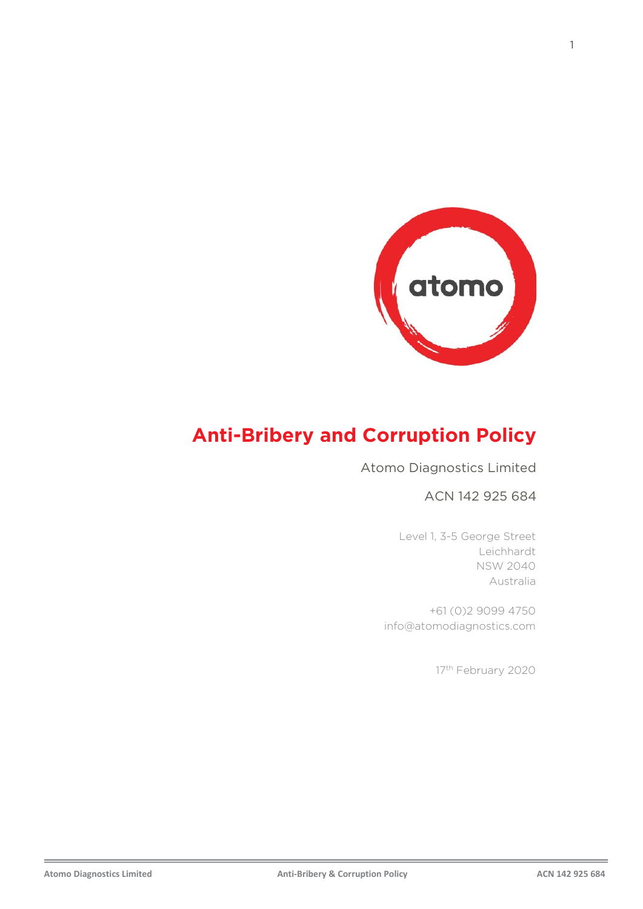

# **Anti-Bribery and Corruption Policy**

#### Atomo Diagnostics Limited

#### ACN 142 925 684

Level 1, 3-5 George Street Leichhardt NSW 2040 Australia

+61 (0)2 9099 4750 info@atomodiagnostics.com

17<sup>th</sup> February 2020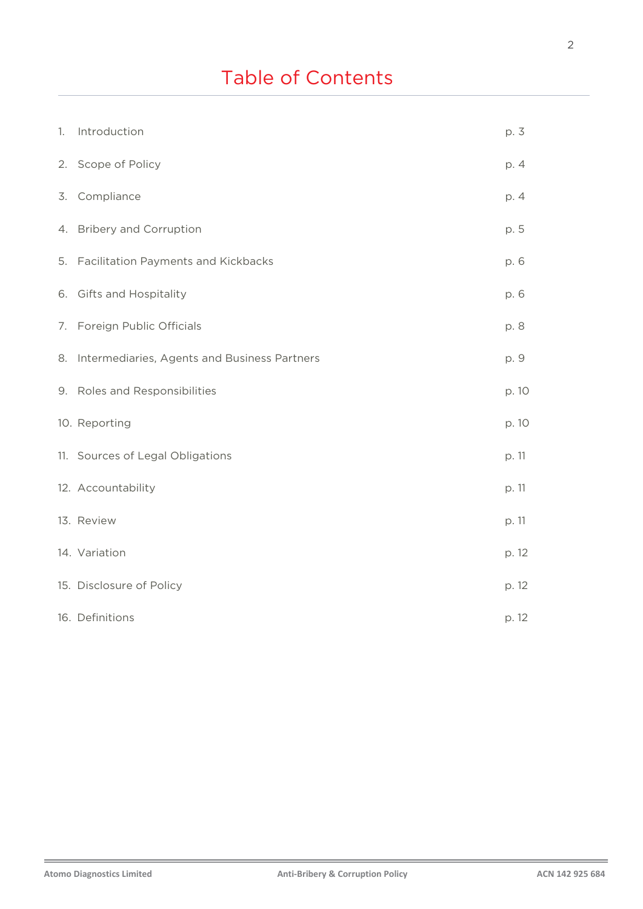# Table of Contents

| 1. | Introduction                                    | p. 3  |
|----|-------------------------------------------------|-------|
|    | 2. Scope of Policy                              | p. 4  |
|    | 3. Compliance                                   | p. 4  |
|    | 4. Bribery and Corruption                       | p. 5  |
|    | 5. Facilitation Payments and Kickbacks          | p. 6  |
|    | 6. Gifts and Hospitality                        | p. 6  |
|    | 7. Foreign Public Officials                     | p. 8  |
|    | 8. Intermediaries, Agents and Business Partners | p. 9  |
|    | 9. Roles and Responsibilities                   | p. 10 |
|    | 10. Reporting                                   | p. 10 |
|    | 11. Sources of Legal Obligations                | p. 11 |
|    | 12. Accountability                              | p. 11 |
|    | 13. Review                                      | p. 11 |
|    | 14. Variation                                   | p. 12 |
|    | 15. Disclosure of Policy                        | p. 12 |
|    | 16. Definitions                                 | p. 12 |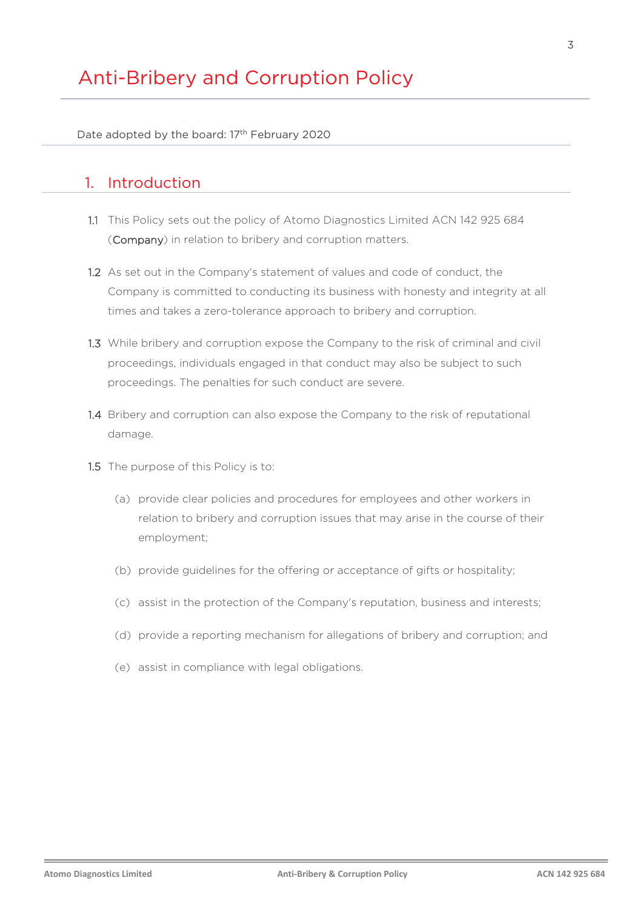Date adopted by the board: 17<sup>th</sup> February 2020

## 1. Introduction

- 1.1 This Policy sets out the policy of Atomo Diagnostics Limited ACN 142 925 684 (Company) in relation to bribery and corruption matters.
- 1.2 As set out in the Company's statement of values and code of conduct, the Company is committed to conducting its business with honesty and integrity at all times and takes a zero-tolerance approach to bribery and corruption.
- 1.3 While bribery and corruption expose the Company to the risk of criminal and civil proceedings, individuals engaged in that conduct may also be subject to such proceedings. The penalties for such conduct are severe.
- 1.4 Bribery and corruption can also expose the Company to the risk of reputational damage.
- 1.5 The purpose of this Policy is to:
	- (a) provide clear policies and procedures for employees and other workers in relation to bribery and corruption issues that may arise in the course of their employment;
	- (b) provide guidelines for the offering or acceptance of gifts or hospitality;
	- (c) assist in the protection of the Company's reputation, business and interests;
	- (d) provide a reporting mechanism for allegations of bribery and corruption; and
	- (e) assist in compliance with legal obligations.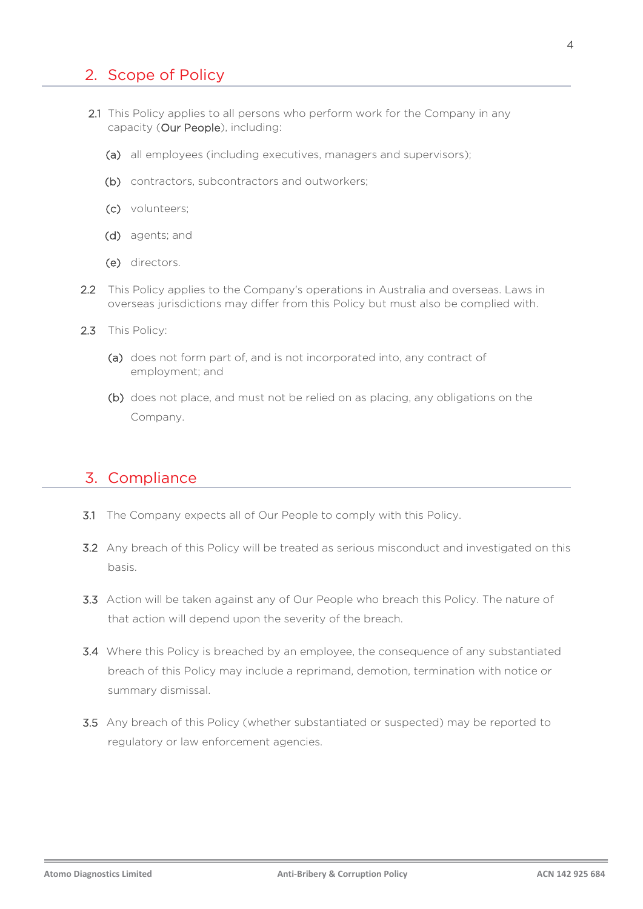## 2. Scope of Policy

- 2.1 This Policy applies to all persons who perform work for the Company in any capacity (Our People), including:
	- (a) all employees (including executives, managers and supervisors);
	- (b) contractors, subcontractors and outworkers;
	- (c) volunteers;
	- (d) agents; and
	- (e) directors.
- 2.2 This Policy applies to the Company's operations in Australia and overseas. Laws in overseas jurisdictions may differ from this Policy but must also be complied with.
- 2.3 This Policy:
	- (a) does not form part of, and is not incorporated into, any contract of employment; and
	- (b) does not place, and must not be relied on as placing, any obligations on the Company.

#### 3. Compliance

- 3.1 The Company expects all of Our People to comply with this Policy.
- 3.2 Any breach of this Policy will be treated as serious misconduct and investigated on this basis.
- 3.3 Action will be taken against any of Our People who breach this Policy. The nature of that action will depend upon the severity of the breach.
- 3.4 Where this Policy is breached by an employee, the consequence of any substantiated breach of this Policy may include a reprimand, demotion, termination with notice or summary dismissal.
- 3.5 Any breach of this Policy (whether substantiated or suspected) may be reported to regulatory or law enforcement agencies.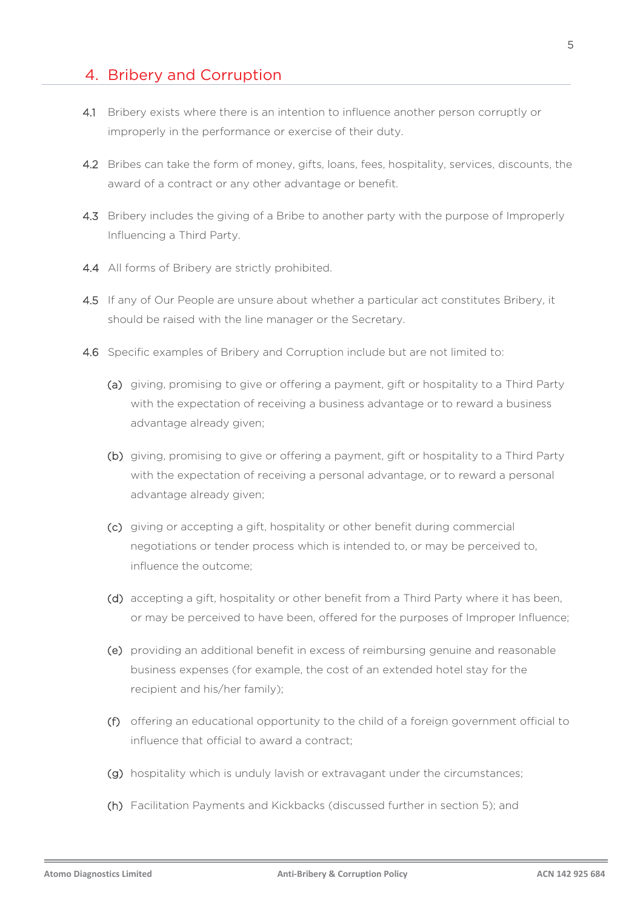### 4. Bribery and Corruption

- 4.1 Bribery exists where there is an intention to influence another person corruptly or improperly in the performance or exercise of their duty.
- 4.2 Bribes can take the form of money, gifts, loans, fees, hospitality, services, discounts, the award of a contract or any other advantage or benefit.
- 4.3 Bribery includes the giving of a Bribe to another party with the purpose of Improperly Influencing a Third Party.
- 4.4 All forms of Bribery are strictly prohibited.
- 4.5 If any of Our People are unsure about whether a particular act constitutes Bribery, it should be raised with the line manager or the Secretary.
- 4.6 Specific examples of Bribery and Corruption include but are not limited to:
	- (a) giving, promising to give or offering a payment, gift or hospitality to a Third Party with the expectation of receiving a business advantage or to reward a business advantage already given;
	- (b) giving, promising to give or offering a payment, gift or hospitality to a Third Party with the expectation of receiving a personal advantage, or to reward a personal advantage already given;
	- (c) giving or accepting a gift, hospitality or other benefit during commercial negotiations or tender process which is intended to, or may be perceived to, influence the outcome;
	- (d) accepting a gift, hospitality or other benefit from a Third Party where it has been, or may be perceived to have been, offered for the purposes of Improper Influence;
	- (e) providing an additional benefit in excess of reimbursing genuine and reasonable business expenses (for example, the cost of an extended hotel stay for the recipient and his/her family);
	- (f) offering an educational opportunity to the child of a foreign government official to influence that official to award a contract;
	- (g) hospitality which is unduly lavish or extravagant under the circumstances;
	- (h) Facilitation Payments and Kickbacks (discussed further in section 5); and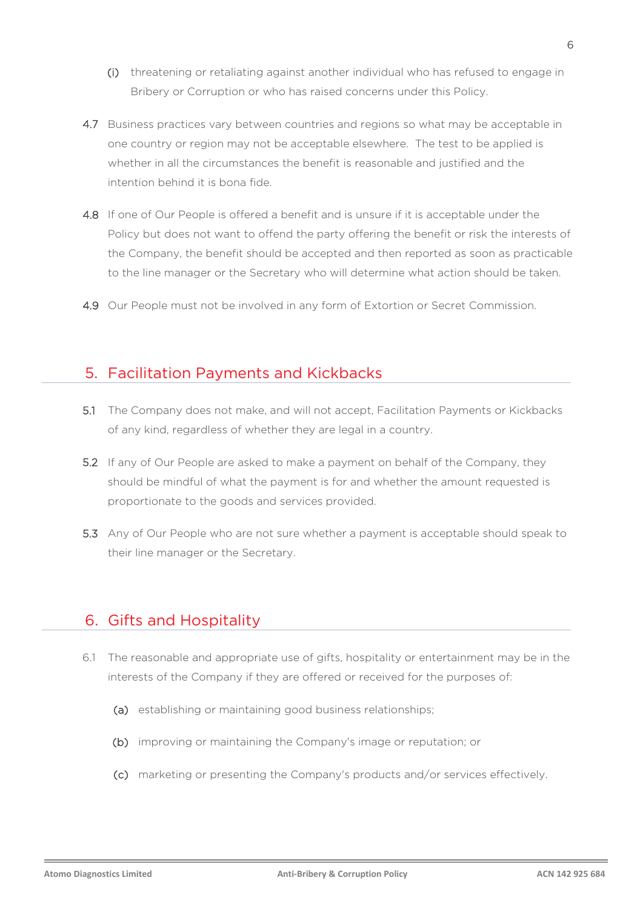- (i) threatening or retaliating against another individual who has refused to engage in Bribery or Corruption or who has raised concerns under this Policy.
- 4.7 Business practices vary between countries and regions so what may be acceptable in one country or region may not be acceptable elsewhere. The test to be applied is whether in all the circumstances the benefit is reasonable and justified and the intention behind it is bona fide.
- 4.8 If one of Our People is offered a benefit and is unsure if it is acceptable under the Policy but does not want to offend the party offering the benefit or risk the interests of the Company, the benefit should be accepted and then reported as soon as practicable to the line manager or the Secretary who will determine what action should be taken.
- 4.9 Our People must not be involved in any form of Extortion or Secret Commission.

### 5. Facilitation Payments and Kickbacks

- 5.1 The Company does not make, and will not accept, Facilitation Payments or Kickbacks of any kind, regardless of whether they are legal in a country.
- 5.2 If any of Our People are asked to make a payment on behalf of the Company, they should be mindful of what the payment is for and whether the amount requested is proportionate to the goods and services provided.
- 5.3 Any of Our People who are not sure whether a payment is acceptable should speak to their line manager or the Secretary.

## 6. Gifts and Hospitality

- 6.1 The reasonable and appropriate use of gifts, hospitality or entertainment may be in the interests of the Company if they are offered or received for the purposes of:
	- (a) establishing or maintaining good business relationships;
	- (b) improving or maintaining the Company's image or reputation; or
	- (c) marketing or presenting the Company's products and/or services effectively.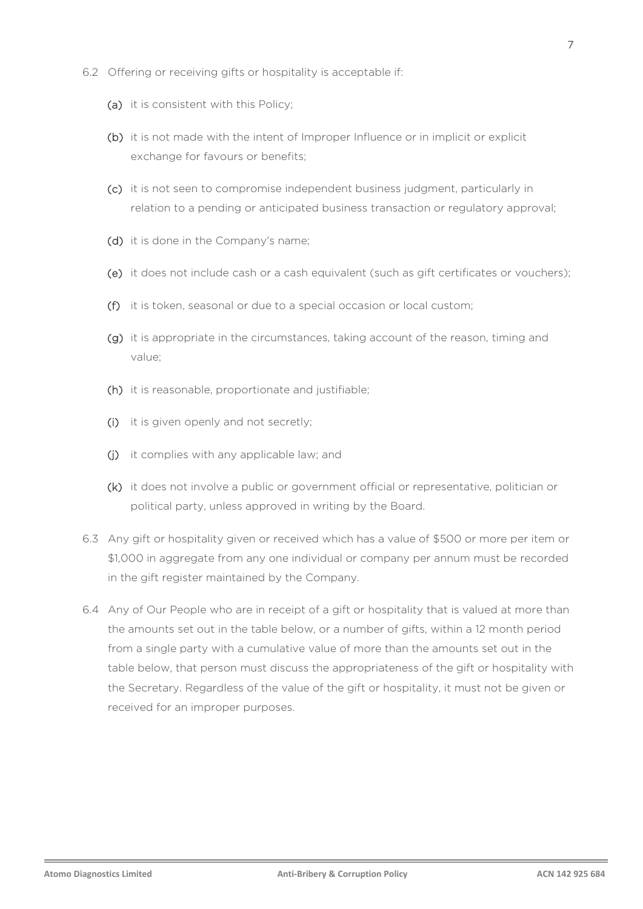- 6.2 Offering or receiving gifts or hospitality is acceptable if:
	- (a) it is consistent with this Policy;
	- (b) it is not made with the intent of Improper Influence or in implicit or explicit exchange for favours or benefits;
	- (c) it is not seen to compromise independent business judgment, particularly in relation to a pending or anticipated business transaction or regulatory approval;
	- (d) it is done in the Company's name;
	- (e) it does not include cash or a cash equivalent (such as gift certificates or vouchers);
	- (f) it is token, seasonal or due to a special occasion or local custom;
	- (g) it is appropriate in the circumstances, taking account of the reason, timing and value;
	- (h) it is reasonable, proportionate and justifiable;
	- (i) it is given openly and not secretly;
	- (j) it complies with any applicable law; and
	- (k) it does not involve a public or government official or representative, politician or political party, unless approved in writing by the Board.
- 6.3 Any gift or hospitality given or received which has a value of \$500 or more per item or \$1,000 in aggregate from any one individual or company per annum must be recorded in the gift register maintained by the Company.
- 6.4 Any of Our People who are in receipt of a gift or hospitality that is valued at more than the amounts set out in the table below, or a number of gifts, within a 12 month period from a single party with a cumulative value of more than the amounts set out in the table below, that person must discuss the appropriateness of the gift or hospitality with the Secretary. Regardless of the value of the gift or hospitality, it must not be given or received for an improper purposes.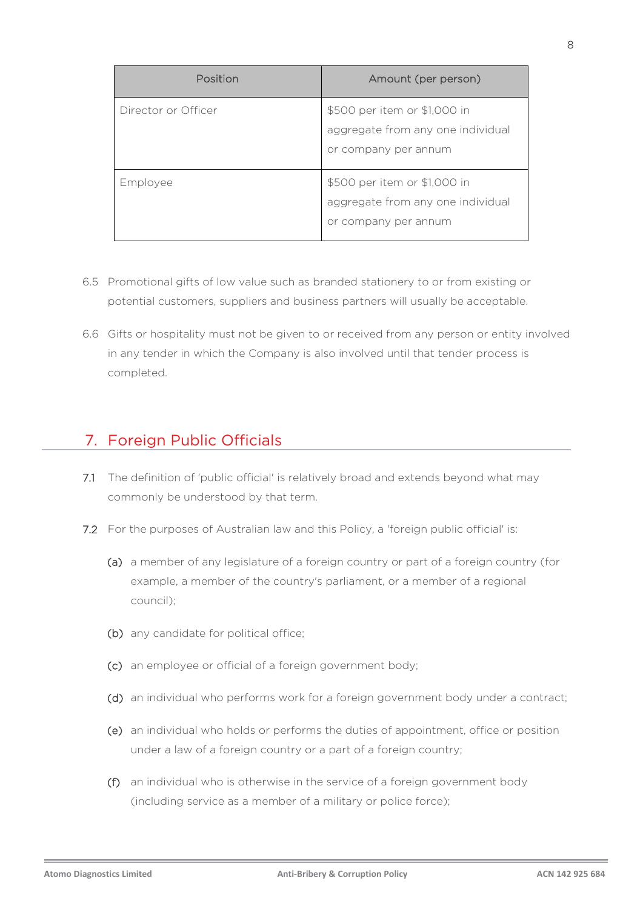| Position            | Amount (per person)                                                                       |
|---------------------|-------------------------------------------------------------------------------------------|
| Director or Officer | \$500 per item or \$1,000 in<br>aggregate from any one individual<br>or company per annum |
| Employee            | \$500 per item or \$1,000 in<br>aggregate from any one individual<br>or company per annum |

- 6.5 Promotional gifts of low value such as branded stationery to or from existing or potential customers, suppliers and business partners will usually be acceptable.
- 6.6 Gifts or hospitality must not be given to or received from any person or entity involved in any tender in which the Company is also involved until that tender process is completed.

## 7. Foreign Public Officials

- 7.1 The definition of 'public official' is relatively broad and extends beyond what may commonly be understood by that term.
- 7.2 For the purposes of Australian law and this Policy, a 'foreign public official' is:
	- (a) a member of any legislature of a foreign country or part of a foreign country (for example, a member of the country's parliament, or a member of a regional council);
	- (b) any candidate for political office;
	- (c) an employee or official of a foreign government body;
	- (d) an individual who performs work for a foreign government body under a contract;
	- (e) an individual who holds or performs the duties of appointment, office or position under a law of a foreign country or a part of a foreign country;
	- (f) an individual who is otherwise in the service of a foreign government body (including service as a member of a military or police force);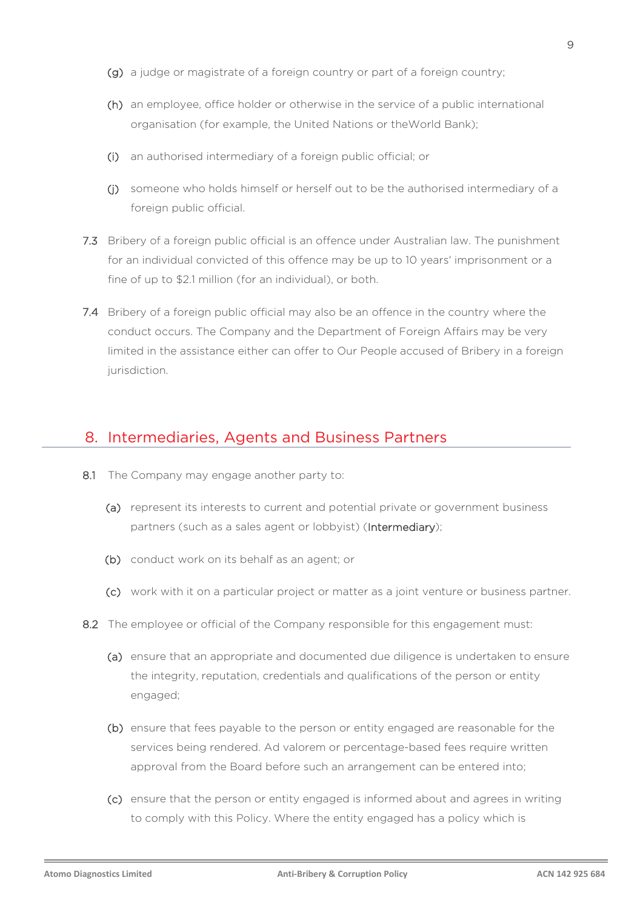- (g) a judge or magistrate of a foreign country or part of a foreign country;
- (h) an employee, office holder or otherwise in the service of a public international organisation (for example, the United Nations or theWorld Bank);
- (i) an authorised intermediary of a foreign public official; or
- (j) someone who holds himself or herself out to be the authorised intermediary of a foreign public official.
- 7.3 Bribery of a foreign public official is an offence under Australian law. The punishment for an individual convicted of this offence may be up to 10 years' imprisonment or a fine of up to \$2.1 million (for an individual), or both.
- 7.4 Bribery of a foreign public official may also be an offence in the country where the conduct occurs. The Company and the Department of Foreign Affairs may be very limited in the assistance either can offer to Our People accused of Bribery in a foreign jurisdiction.

#### 8. Intermediaries, Agents and Business Partners

- 8.1 The Company may engage another party to:
	- (a) represent its interests to current and potential private or government business partners (such as a sales agent or lobbyist) (Intermediary);
	- (b) conduct work on its behalf as an agent; or
	- (c) work with it on a particular project or matter as a joint venture or business partner.
- 8.2 The employee or official of the Company responsible for this engagement must:
	- (a) ensure that an appropriate and documented due diligence is undertaken to ensure the integrity, reputation, credentials and qualifications of the person or entity engaged;
	- (b) ensure that fees payable to the person or entity engaged are reasonable for the services being rendered. Ad valorem or percentage-based fees require written approval from the Board before such an arrangement can be entered into;
	- (c) ensure that the person or entity engaged is informed about and agrees in writing to comply with this Policy. Where the entity engaged has a policy which is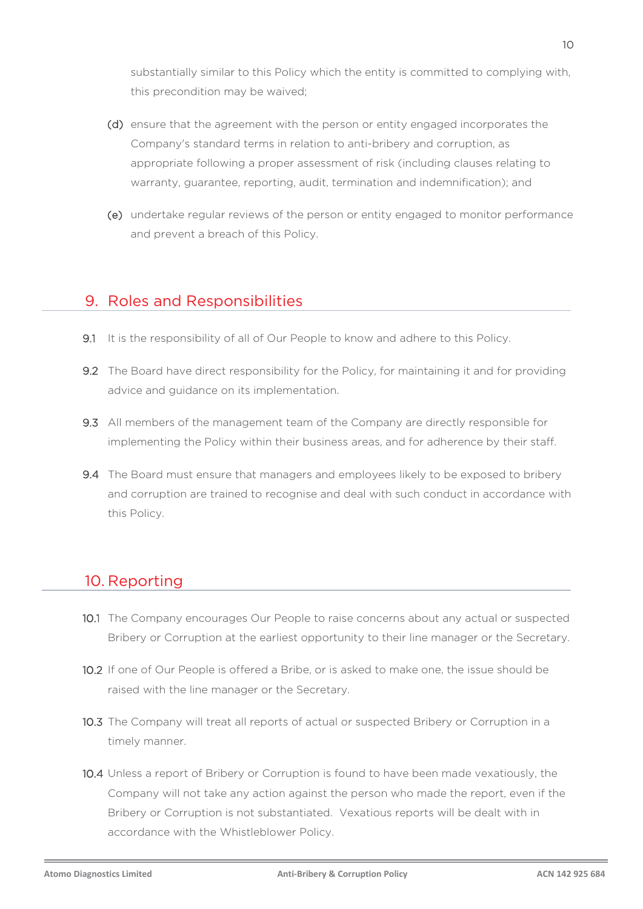substantially similar to this Policy which the entity is committed to complying with, this precondition may be waived;

- (d) ensure that the agreement with the person or entity engaged incorporates the Company's standard terms in relation to anti-bribery and corruption, as appropriate following a proper assessment of risk (including clauses relating to warranty, guarantee, reporting, audit, termination and indemnification); and
- (e) undertake regular reviews of the person or entity engaged to monitor performance and prevent a breach of this Policy.

### 9. Roles and Responsibilities

- 9.1 It is the responsibility of all of Our People to know and adhere to this Policy.
- 9.2 The Board have direct responsibility for the Policy, for maintaining it and for providing advice and guidance on its implementation.
- 9.3 All members of the management team of the Company are directly responsible for implementing the Policy within their business areas, and for adherence by their staff.
- 9.4 The Board must ensure that managers and employees likely to be exposed to bribery and corruption are trained to recognise and deal with such conduct in accordance with this Policy.

## 10. Reporting

- 10.1 The Company encourages Our People to raise concerns about any actual or suspected Bribery or Corruption at the earliest opportunity to their line manager or the Secretary.
- 10.2 If one of Our People is offered a Bribe, or is asked to make one, the issue should be raised with the line manager or the Secretary.
- 10.3 The Company will treat all reports of actual or suspected Bribery or Corruption in a timely manner.
- 10.4 Unless a report of Bribery or Corruption is found to have been made vexatiously, the Company will not take any action against the person who made the report, even if the Bribery or Corruption is not substantiated. Vexatious reports will be dealt with in accordance with the Whistleblower Policy.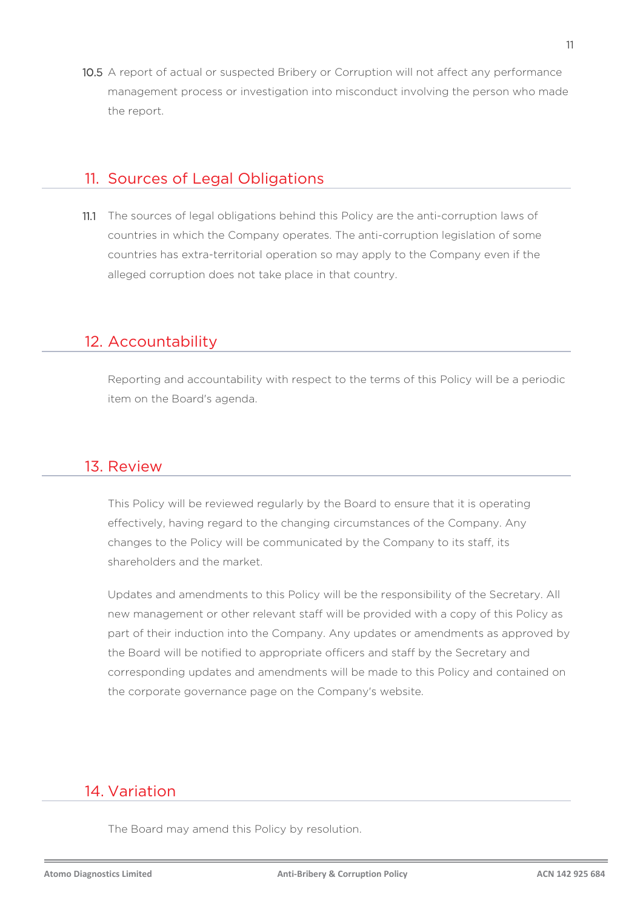10.5 A report of actual or suspected Bribery or Corruption will not affect any performance management process or investigation into misconduct involving the person who made the report.

### 11. Sources of Legal Obligations

11.1 The sources of legal obligations behind this Policy are the anti-corruption laws of countries in which the Company operates. The anti-corruption legislation of some countries has extra-territorial operation so may apply to the Company even if the alleged corruption does not take place in that country.

## 12. Accountability

Reporting and accountability with respect to the terms of this Policy will be a periodic item on the Board's agenda.

### 13. Review

This Policy will be reviewed regularly by the Board to ensure that it is operating effectively, having regard to the changing circumstances of the Company. Any changes to the Policy will be communicated by the Company to its staff, its shareholders and the market.

Updates and amendments to this Policy will be the responsibility of the Secretary. All new management or other relevant staff will be provided with a copy of this Policy as part of their induction into the Company. Any updates or amendments as approved by the Board will be notified to appropriate officers and staff by the Secretary and corresponding updates and amendments will be made to this Policy and contained on the corporate governance page on the Company's website.

## 14. Variation

The Board may amend this Policy by resolution.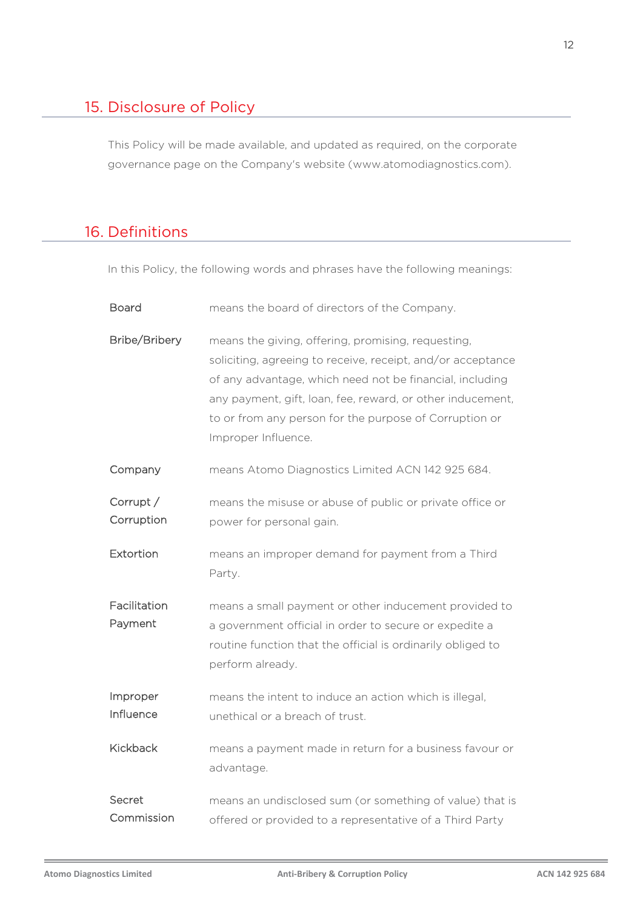## 15. Disclosure of Policy

This Policy will be made available, and updated as required, on the corporate governance page on the Company's website (www.atomodiagnostics.com).

## 16. Definitions

In this Policy, the following words and phrases have the following meanings:

| Board                   | means the board of directors of the Company.                                                                                                                                                                                                                                                                                 |
|-------------------------|------------------------------------------------------------------------------------------------------------------------------------------------------------------------------------------------------------------------------------------------------------------------------------------------------------------------------|
| Bribe/Bribery           | means the giving, offering, promising, requesting,<br>soliciting, agreeing to receive, receipt, and/or acceptance<br>of any advantage, which need not be financial, including<br>any payment, gift, loan, fee, reward, or other inducement,<br>to or from any person for the purpose of Corruption or<br>Improper Influence. |
| Company                 | means Atomo Diagnostics Limited ACN 142 925 684.                                                                                                                                                                                                                                                                             |
| Corrupt /<br>Corruption | means the misuse or abuse of public or private office or<br>power for personal gain.                                                                                                                                                                                                                                         |
| Extortion               | means an improper demand for payment from a Third<br>Party.                                                                                                                                                                                                                                                                  |
| Facilitation<br>Payment | means a small payment or other inducement provided to<br>a government official in order to secure or expedite a<br>routine function that the official is ordinarily obliged to<br>perform already.                                                                                                                           |
| Improper<br>Influence   | means the intent to induce an action which is illegal,<br>unethical or a breach of trust.                                                                                                                                                                                                                                    |
| <b>Kickback</b>         | means a payment made in return for a business favour or<br>advantage.                                                                                                                                                                                                                                                        |
| Secret<br>Commission    | means an undisclosed sum (or something of value) that is<br>offered or provided to a representative of a Third Party                                                                                                                                                                                                         |